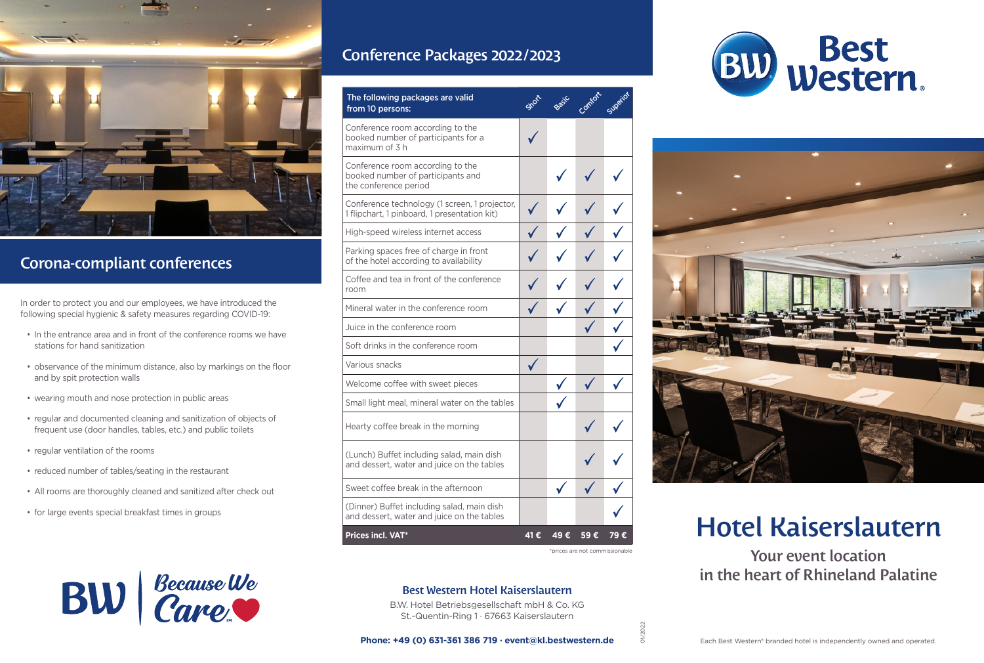

# Corona-compliant conferences

In order to protect you and our employees, we have introduced the following special hygienic & safety measures regarding COVID-19:

- In the entrance area and in front of the conference rooms we have stations for hand sanitization
- observance of the minimum distance, also by markings on the floor and by spit protection walls
- wearing mouth and nose protection in public areas
- regular and documented cleaning and sanitization of objects of frequent use (door handles, tables, etc.) and public toilets
- regular ventilation of the rooms
- reduced number of tables/seating in the restaurant
- All rooms are thoroughly cleaned and sanitized after check out
- for large events special breakfast times in groups

# Conference Packages 2022 / 2023

| The following packages are valid<br>from 10 persons:                                           |     |      |     | Superior |
|------------------------------------------------------------------------------------------------|-----|------|-----|----------|
| Conference room according to the<br>booked number of participants for a<br>maximum of 3 h      |     |      |     |          |
| Conference room according to the<br>booked number of participants and<br>the conference period |     |      |     |          |
| Conference technology (1 screen, 1 projector,<br>1 flipchart, 1 pinboard, 1 presentation kit)  |     |      |     |          |
| High-speed wireless internet access                                                            |     |      |     |          |
| Parking spaces free of charge in front<br>of the hotel according to availability               |     |      |     |          |
| Coffee and tea in front of the conference<br>room                                              |     |      |     |          |
| Mineral water in the conference room                                                           |     |      |     |          |
| Juice in the conference room                                                                   |     |      |     |          |
| Soft drinks in the conference room                                                             |     |      |     |          |
| Various snacks                                                                                 |     |      |     |          |
| Welcome coffee with sweet pieces                                                               |     |      |     |          |
| Small light meal, mineral water on the tables                                                  |     |      |     |          |
| Hearty coffee break in the morning                                                             |     |      |     |          |
| (Lunch) Buffet including salad, main dish<br>and dessert, water and juice on the tables        |     |      |     |          |
| Sweet coffee break in the afternoon                                                            |     |      |     |          |
| (Dinner) Buffet including salad, main dish<br>and dessert, water and juice on the tables       |     |      |     |          |
| Prices incl. VAT*                                                                              | 41€ | 49 € | 59€ | 79 €     |





# Hotel Kaiserslautern

Your event location in the heart of Rhineland Palatine

\*prices are not commissionable

01/2022



### Best Western Hotel Kaiserslautern

B.W. Hotel Betriebsgesellschaft mbH & Co. KG St.-Quentin-Ring 1 · 67663 Kaiserslautern